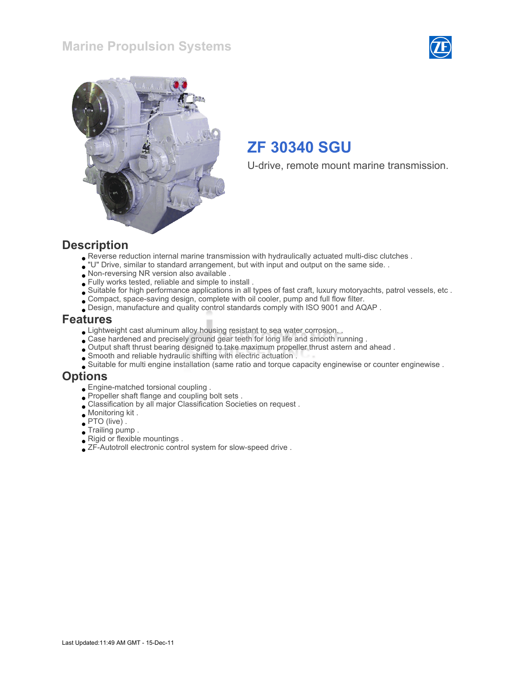



U-drive, remote mount marine transmission.

#### **Description**

- Reverse reduction internal marine transmission with hydraulically actuated multi-disc clutches .
- "U" Drive, similar to standard arrangement, but with input and output on the same side. .
- Non-reversing NR version also available .
- Fully works tested, reliable and simple to install .
- Suitable for high performance applications in all types of fast craft, luxury motoryachts, patrol vessels, etc .
- Compact, space-saving design, complete with oil cooler, pump and full flow filter.
- Design, manufacture and quality control standards comply with ISO 9001 and AQAP .

#### Features

- Lightweight cast aluminum alloy housing resistant to sea water corrosion. .
- Case hardened and precisely ground gear teeth for long life and smooth running .
- Output shaft thrust bearing designed to take maximum propeller thrust astern and ahead .
- Smooth and reliable hydraulic shifting with electric actuation .
- Suitable for multi engine installation (same ratio and torque capacity enginewise or counter enginewise .

#### Options

- Engine-matched torsional coupling .
- Propeller shaft flange and coupling bolt sets .
- Classification by all major Classification Societies on request .
- Monitoring kit .
- PTO (live) .
- Trailing pump .
- Rigid or flexible mountings .
- ZF-Autotroll electronic control system for slow-speed drive .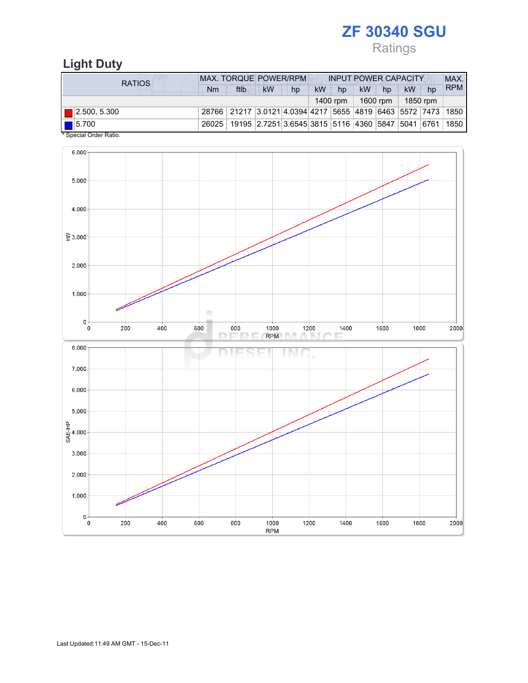Ratings

## Light Duty

| <b>RATIOS</b>               | MAX. TORQUE POWER/RPM | <b>INPUT POWER CAPACITY</b>                                                      |           |    |           |          |           | MAX.     |           |    |            |
|-----------------------------|-----------------------|----------------------------------------------------------------------------------|-----------|----|-----------|----------|-----------|----------|-----------|----|------------|
|                             | Nm                    | ftlb                                                                             | <b>kW</b> | hp | <b>kW</b> | hp       | <b>kW</b> | hp       | <b>kW</b> | hp | <b>RPM</b> |
|                             |                       |                                                                                  |           |    |           | 1400 rpm |           | 1600 rpm | 1850 rpm  |    |            |
| $\blacksquare$ 2.500, 5.300 |                       | 28766   21217   3.0121   4.0394   4217   5655   4819   6463   5572   7473   1850 |           |    |           |          |           |          |           |    |            |
| 15.700<br>$\cdots$          |                       | 26025   19195   2.7251   3.6545   3815   5116   4360   5847   5041   6761   1850 |           |    |           |          |           |          |           |    |            |

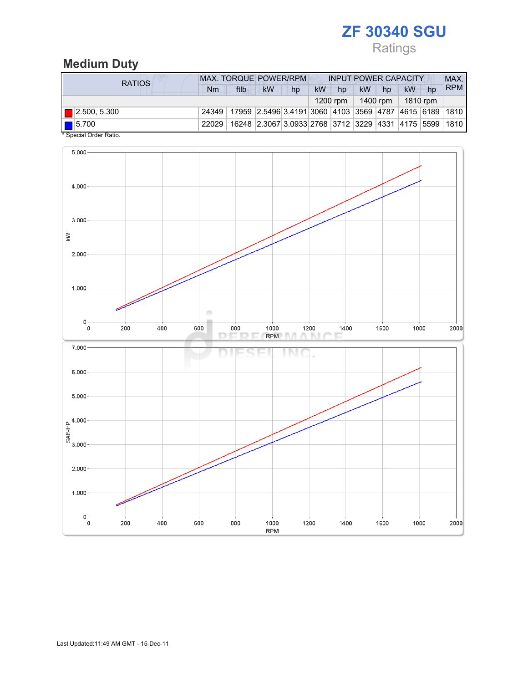# Ratings

### Medium Duty

| <b>RATIOS</b>                                                                                                                                                                                                                                                                                                                                                                            | <b>MAX. TORQUE POWER/RPM</b>                                                     |      |           |    |    | <b>INPUT POWER CAPACITY</b> |           |                       |    |    |            |
|------------------------------------------------------------------------------------------------------------------------------------------------------------------------------------------------------------------------------------------------------------------------------------------------------------------------------------------------------------------------------------------|----------------------------------------------------------------------------------|------|-----------|----|----|-----------------------------|-----------|-----------------------|----|----|------------|
|                                                                                                                                                                                                                                                                                                                                                                                          | Nm                                                                               | ftlb | <b>kW</b> | hp | kW | hp                          | <b>kW</b> | hp                    | kW | hp | <b>RPM</b> |
|                                                                                                                                                                                                                                                                                                                                                                                          |                                                                                  |      |           |    |    | $1200$ rpm                  |           | $1400$ rpm   1810 rpm |    |    |            |
| $\blacksquare$ 2.500, 5.300                                                                                                                                                                                                                                                                                                                                                              | 24349   17959   2.5496 3.4191 3060   4103   3569   4787   4615   6189   1810     |      |           |    |    |                             |           |                       |    |    |            |
| $\boxed{\blacksquare}$ 5.700<br>$*$ $\alpha$ . $\alpha$ . $\alpha$ . $\alpha$ . $\alpha$ . $\alpha$ . $\alpha$ . $\alpha$ . $\alpha$ . $\alpha$ . $\alpha$ . $\alpha$ . $\alpha$ . $\alpha$ . $\alpha$ . $\alpha$ . $\alpha$ . $\alpha$ . $\alpha$ . $\alpha$ . $\alpha$ . $\alpha$ . $\alpha$ . $\alpha$ . $\alpha$ . $\alpha$ . $\alpha$ . $\alpha$ . $\alpha$ . $\alpha$ . $\alpha$ . | 22029   16248   2.3067   3.0933   2768   3712   3229   4331   4175   5599   1810 |      |           |    |    |                             |           |                       |    |    |            |

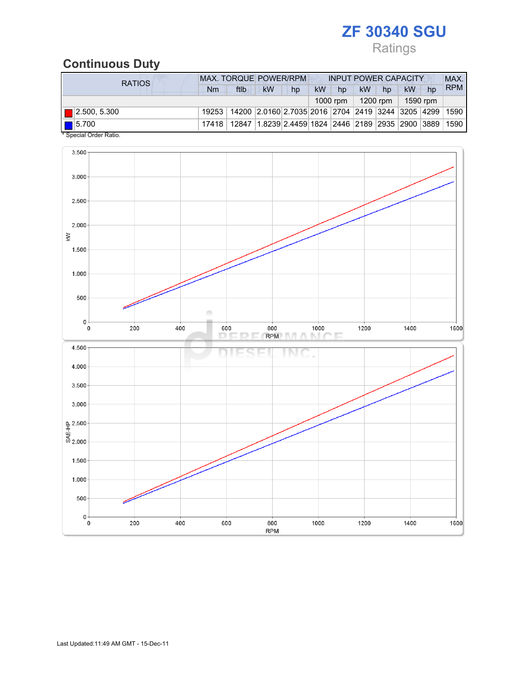## Ratings

## Continuous Duty

| RATIOS                                                    | <b>MAX. TORQUE POWER/RPM</b> |                                                                                  |           |    |           | <b>INPUT POWER CAPACITY</b> |           |          |          |    |            |
|-----------------------------------------------------------|------------------------------|----------------------------------------------------------------------------------|-----------|----|-----------|-----------------------------|-----------|----------|----------|----|------------|
|                                                           | Nm                           | ftlb                                                                             | <b>kW</b> | hp | <b>kW</b> | hp                          | <b>kW</b> | hp       | kW       | hp | <b>RPM</b> |
|                                                           |                              |                                                                                  |           |    |           | 1000 rpm                    |           | 1200 rpm | 1590 rpm |    |            |
| $\blacksquare$ 2.500, 5.300                               |                              | 19253   14200   2.0160   2.7035   2016   2704   2419   3244   3205   4299   1590 |           |    |           |                             |           |          |          |    |            |
| $\boxed{\blacksquare}$ 5.700<br>$*$ Consider Order Detter |                              | 17418   12847   1.8239   2.4459   1824   2446   2189   2935   2900   3889   1590 |           |    |           |                             |           |          |          |    |            |

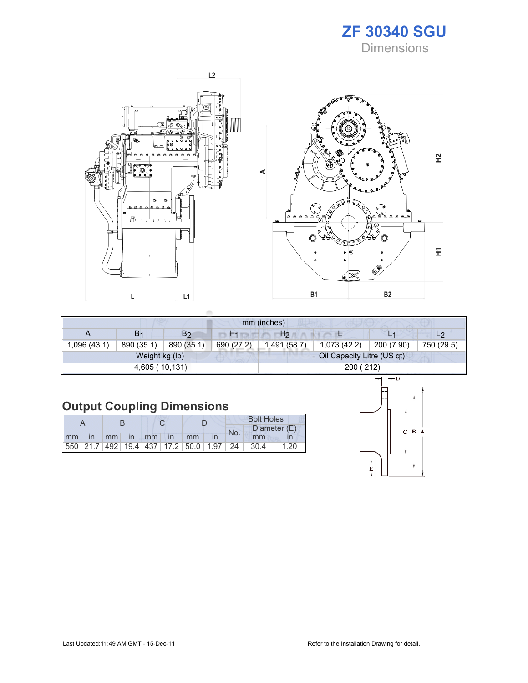### ZF 30340 SGU **Dimensions**



|             |                |                |                | mm (inches)    |                            |            |                |
|-------------|----------------|----------------|----------------|----------------|----------------------------|------------|----------------|
| A           | B <sub>1</sub> | B <sub>2</sub> | H <sub>1</sub> | H <sub>2</sub> |                            | L1         | L <sub>2</sub> |
| .096 (43.1) | 890 (35.1)     | 890 (35.1)     | 690 (27.2)     | 1,491 (58.7)   | 1,073(42.2)                | 200 (7.90) | 750 (29.5)     |
|             | Weight kg (lb) |                |                |                | Oil Capacity Litre (US qt) |            |                |
|             | 4,605 (10,131) |                |                |                | 200 (212)                  |            |                |

# Output Coupling Dimensions

|         |  |  |                |                                                         | <b>Bolt Holes</b> |       |              |  |  |
|---------|--|--|----------------|---------------------------------------------------------|-------------------|-------|--------------|--|--|
|         |  |  |                |                                                         | No.               |       | Diameter (E) |  |  |
| $mm$ in |  |  | mm in mm in mm |                                                         |                   | mm    |              |  |  |
|         |  |  |                | 550   21.7   492   19.4   437   17.2   50.0   1.97   24 |                   | -30.4 | 1.20         |  |  |